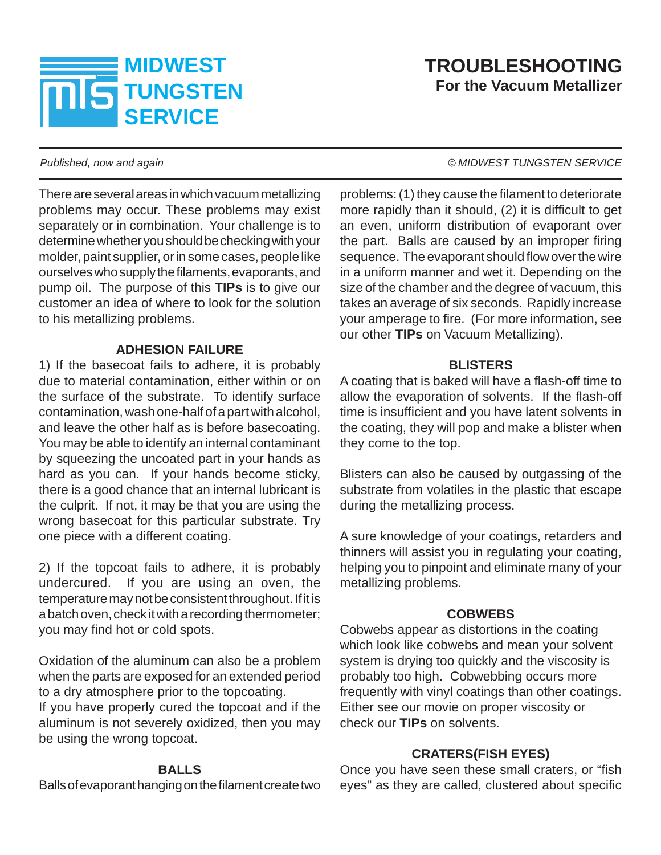# **MIDWEST TUNGSTEN SERVICE**

# **TROUBLESHOOTING For the Vacuum Metallizer**

There are several areas in which vacuum metallizing problems may occur. These problems may exist separately or in combination. Your challenge is to determine whether you should be checking with your molder, paint supplier, or in some cases, people like ourselves who supply the filaments, evaporants, and pump oil. The purpose of this **TIPs** is to give our customer an idea of where to look for the solution to his metallizing problems.

# **ADHESION FAILURE**

1) If the basecoat fails to adhere, it is probably due to material contamination, either within or on the surface of the substrate. To identify surface contamination, wash one-half of a part with alcohol, and leave the other half as is before basecoating. You may be able to identify an internal contaminant by squeezing the uncoated part in your hands as hard as you can. If your hands become sticky, there is a good chance that an internal lubricant is the culprit. If not, it may be that you are using the wrong basecoat for this particular substrate. Try one piece with a different coating.

2) If the topcoat fails to adhere, it is probably undercured. If you are using an oven, the temperature may not be consistent throughout. If it is a batch oven, check it with a recording thermometer; you may find hot or cold spots.

Oxidation of the aluminum can also be a problem when the parts are exposed for an extended period to a dry atmosphere prior to the topcoating.

If you have properly cured the topcoat and if the aluminum is not severely oxidized, then you may be using the wrong topcoat.

# **BALLS**

Balls of evaporant hanging on the filament create two

#### *Published, now and again*  $\bullet$  *MIDWEST TUNGSTEN SERVICE*

problems: (1) they cause the filament to deteriorate more rapidly than it should,  $(2)$  it is difficult to get an even, uniform distribution of evaporant over the part. Balls are caused by an improper firing sequence. The evaporant should flow over the wire in a uniform manner and wet it. Depending on the size of the chamber and the degree of vacuum, this takes an average of six seconds. Rapidly increase your amperage to fire. (For more information, see our other **TIPs** on Vacuum Metallizing).

#### **BLISTERS**

A coating that is baked will have a flash-off time to allow the evaporation of solvents. If the flash-off time is insufficient and you have latent solvents in the coating, they will pop and make a blister when they come to the top.

Blisters can also be caused by outgassing of the substrate from volatiles in the plastic that escape during the metallizing process.

A sure knowledge of your coatings, retarders and thinners will assist you in regulating your coating, helping you to pinpoint and eliminate many of your metallizing problems.

# **COBWEBS**

Cobwebs appear as distortions in the coating which look like cobwebs and mean your solvent system is drying too quickly and the viscosity is probably too high. Cobwebbing occurs more frequently with vinyl coatings than other coatings. Either see our movie on proper viscosity or check our **TIPs** on solvents.

# **CRATERS(FISH EYES)**

Once you have seen these small craters, or "fish eyes" as they are called, clustered about specific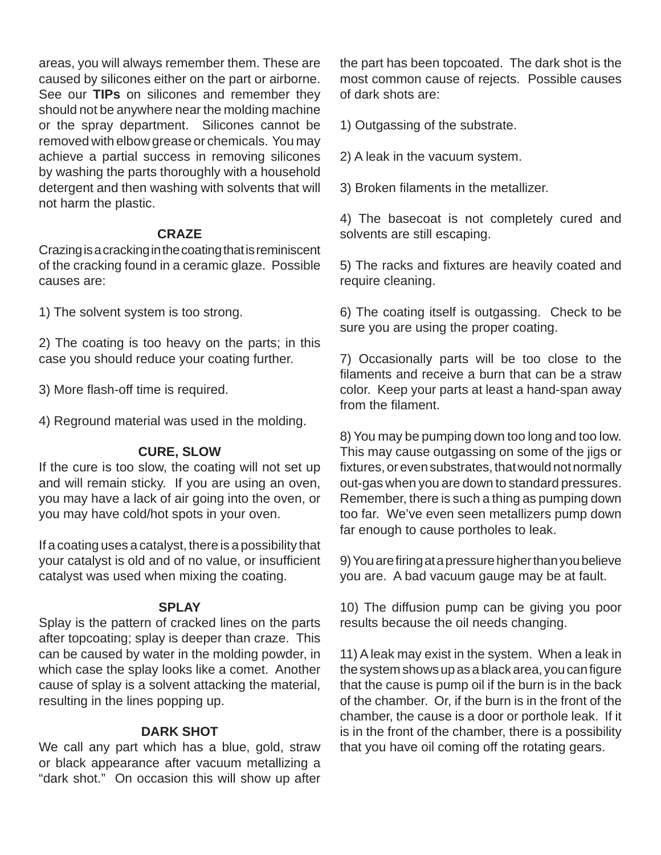areas, you will always remember them. These are caused by silicones either on the part or airborne. See our **TIPs** on silicones and remember they should not be anywhere near the molding machine or the spray department. Silicones cannot be removed with elbow grease or chemicals. You may achieve a partial success in removing silicones by washing the parts thoroughly with a household detergent and then washing with solvents that will not harm the plastic.

#### **CRAZE**

Crazing is a cracking in the coating that is reminiscent of the cracking found in a ceramic glaze. Possible causes are:

1) The solvent system is too strong.

2) The coating is too heavy on the parts; in this case you should reduce your coating further.

3) More flash-off time is required.

4) Reground material was used in the molding.

#### **CURE, SLOW**

If the cure is too slow, the coating will not set up and will remain sticky. If you are using an oven, you may have a lack of air going into the oven, or you may have cold/hot spots in your oven.

If a coating uses a catalyst, there is a possibility that your catalyst is old and of no value, or insufficient catalyst was used when mixing the coating.

# **SPLAY**

Splay is the pattern of cracked lines on the parts after topcoating; splay is deeper than craze. This can be caused by water in the molding powder, in which case the splay looks like a comet. Another cause of splay is a solvent attacking the material, resulting in the lines popping up.

#### **DARK SHOT**

We call any part which has a blue, gold, straw or black appearance after vacuum metallizing a "dark shot." On occasion this will show up after the part has been topcoated. The dark shot is the most common cause of rejects. Possible causes of dark shots are:

1) Outgassing of the substrate.

2) A leak in the vacuum system.

3) Broken filaments in the metallizer.

4) The basecoat is not completely cured and solvents are still escaping.

5) The racks and fixtures are heavily coated and require cleaning.

6) The coating itself is outgassing. Check to be sure you are using the proper coating.

7) Occasionally parts will be too close to the filaments and receive a burn that can be a straw color. Keep your parts at least a hand-span away from the filament.

8) You may be pumping down too long and too low. This may cause outgassing on some of the jigs or fixtures, or even substrates, that would not normally out-gas when you are down to standard pressures. Remember, there is such a thing as pumping down too far. We've even seen metallizers pump down far enough to cause portholes to leak.

9) You are firing at a pressure higher than you believe you are. A bad vacuum gauge may be at fault.

10) The diffusion pump can be giving you poor results because the oil needs changing.

11) A leak may exist in the system. When a leak in the system shows up as a black area, you can figure that the cause is pump oil if the burn is in the back of the chamber. Or, if the burn is in the front of the chamber, the cause is a door or porthole leak. If it is in the front of the chamber, there is a possibility that you have oil coming off the rotating gears.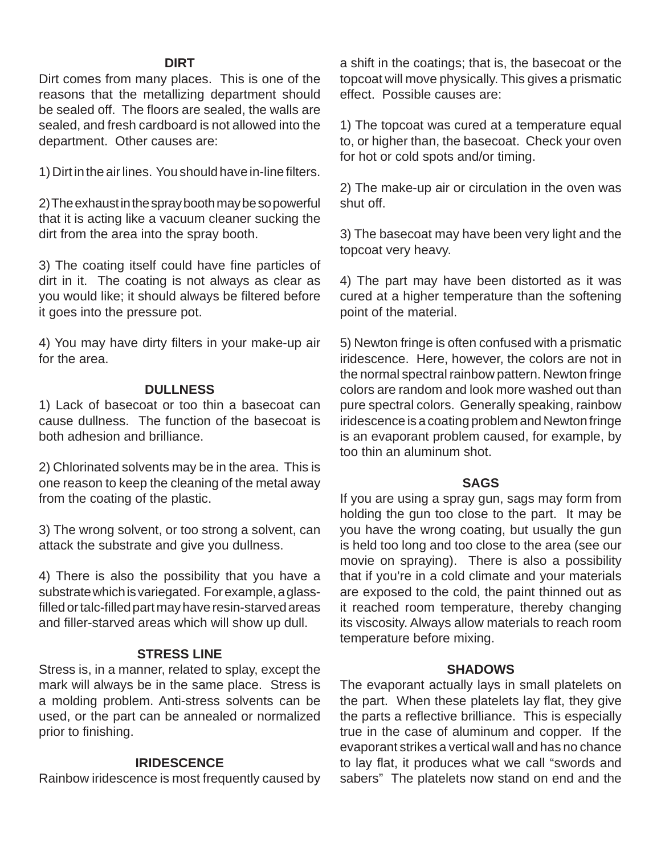#### **DIRT**

Dirt comes from many places. This is one of the reasons that the metallizing department should be sealed off. The floors are sealed, the walls are sealed, and fresh cardboard is not allowed into the department. Other causes are:

1) Dirt in the air lines. You should have in-line filters.

2) The exhaust in the spray booth may be so powerful that it is acting like a vacuum cleaner sucking the dirt from the area into the spray booth.

3) The coating itself could have fine particles of dirt in it. The coating is not always as clear as you would like; it should always be filtered before it goes into the pressure pot.

4) You may have dirty filters in your make-up air for the area.

#### **DULLNESS**

1) Lack of basecoat or too thin a basecoat can cause dullness. The function of the basecoat is both adhesion and brilliance.

2) Chlorinated solvents may be in the area. This is one reason to keep the cleaning of the metal away from the coating of the plastic.

3) The wrong solvent, or too strong a solvent, can attack the substrate and give you dullness.

4) There is also the possibility that you have a substrate which is variegated. For example, a glassfilled or talc-filled part may have resin-starved areas and filler-starved areas which will show up dull.

#### **STRESS LINE**

Stress is, in a manner, related to splay, except the mark will always be in the same place. Stress is a molding problem. Anti-stress solvents can be used, or the part can be annealed or normalized prior to finishing.

#### **IRIDESCENCE**

Rainbow iridescence is most frequently caused by

a shift in the coatings; that is, the basecoat or the topcoat will move physically. This gives a prismatic effect. Possible causes are:

1) The topcoat was cured at a temperature equal to, or higher than, the basecoat. Check your oven for hot or cold spots and/or timing.

2) The make-up air or circulation in the oven was shut off.

3) The basecoat may have been very light and the topcoat very heavy.

4) The part may have been distorted as it was cured at a higher temperature than the softening point of the material.

5) Newton fringe is often confused with a prismatic iridescence. Here, however, the colors are not in the normal spectral rainbow pattern. Newton fringe colors are random and look more washed out than pure spectral colors. Generally speaking, rainbow iridescence is a coating problem and Newton fringe is an evaporant problem caused, for example, by too thin an aluminum shot.

#### **SAGS**

If you are using a spray gun, sags may form from holding the gun too close to the part. It may be you have the wrong coating, but usually the gun is held too long and too close to the area (see our movie on spraying). There is also a possibility that if you're in a cold climate and your materials are exposed to the cold, the paint thinned out as it reached room temperature, thereby changing its viscosity. Always allow materials to reach room temperature before mixing.

#### **SHADOWS**

The evaporant actually lays in small platelets on the part. When these platelets lay flat, they give the parts a reflective brilliance. This is especially true in the case of aluminum and copper. If the evaporant strikes a vertical wall and has no chance to lay flat, it produces what we call "swords and sabers" The platelets now stand on end and the